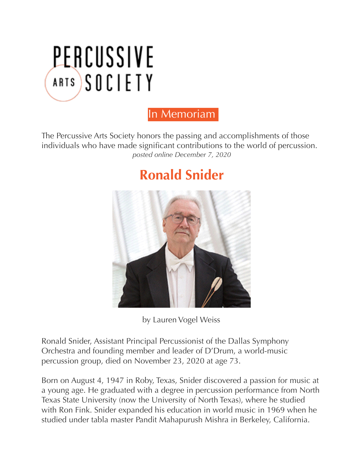

## In Memoriam

The Percussive Arts Society honors the passing and accomplishments of those individuals who have made significant contributions to the world of percussion. *posted online December 7, 2020* 

## **[Ronald Snider](javascript:WebForm_DoPostBackWithOptions(new%20WebForm_PostBackOptions(%22ctl00$Contentplaceholder1$C046$ctl00$ctl00$ctl00$listsControl$ctrl0$listItemsControl$ctrl0$listItemToggleLnk%22,%20%22%22,%20true,%20%22%22,%20%22%22,%20false,%20true)))**



by Lauren Vogel Weiss

Ronald Snider, Assistant Principal Percussionist of the Dallas Symphony Orchestra and founding member and leader of D'Drum, a world-music percussion group, died on November 23, 2020 at age 73.

Born on August 4, 1947 in Roby, Texas, Snider discovered a passion for music at a young age. He graduated with a degree in percussion performance from North Texas State University (now the University of North Texas), where he studied with Ron Fink. Snider expanded his education in world music in 1969 when he studied under tabla master Pandit Mahapurush Mishra in Berkeley, California.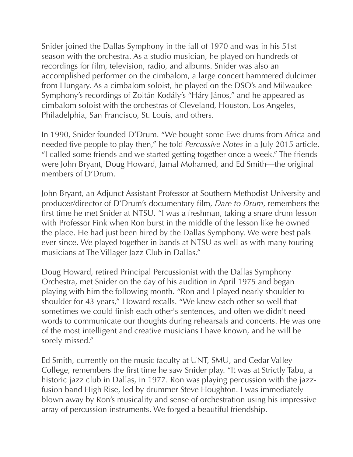Snider joined the Dallas Symphony in the fall of 1970 and was in his 51st season with the orchestra. As a studio musician, he played on hundreds of recordings for film, television, radio, and albums. Snider was also an accomplished performer on the cimbalom, a large concert hammered dulcimer from Hungary. As a cimbalom soloist, he played on the DSO's and Milwaukee Symphony's recordings of Zoltán Kodály's "Háry János," and he appeared as cimbalom soloist with the orchestras of Cleveland, Houston, Los Angeles, Philadelphia, San Francisco, St. Louis, and others.

In 1990, Snider founded D'Drum. "We bought some Ewe drums from Africa and needed five people to play then," he told *Percussive Notes* in a July 2015 article. "I called some friends and we started getting together once a week." The friends were John Bryant, Doug Howard, Jamal Mohamed, and Ed Smith—the original members of D'Drum.

John Bryant, an Adjunct Assistant Professor at Southern Methodist University and producer/director of D'Drum's documentary film, *Dare to Drum*, remembers the first time he met Snider at NTSU. "I was a freshman, taking a snare drum lesson with Professor Fink when Ron burst in the middle of the lesson like he owned the place. He had just been hired by the Dallas Symphony. We were best pals ever since. We played together in bands at NTSU as well as with many touring musicians at The Villager Jazz Club in Dallas."

Doug Howard, retired Principal Percussionist with the Dallas Symphony Orchestra, met Snider on the day of his audition in April 1975 and began playing with him the following month. "Ron and I played nearly shoulder to shoulder for 43 years," Howard recalls. "We knew each other so well that sometimes we could finish each other's sentences, and often we didn't need words to communicate our thoughts during rehearsals and concerts. He was one of the most intelligent and creative musicians I have known, and he will be sorely missed."

Ed Smith, currently on the music faculty at UNT, SMU, and Cedar Valley College, remembers the first time he saw Snider play. "It was at Strictly Tabu, a historic jazz club in Dallas, in 1977. Ron was playing percussion with the jazzfusion band High Rise, led by drummer Steve Houghton. I was immediately blown away by Ron's musicality and sense of orchestration using his impressive array of percussion instruments. We forged a beautiful friendship.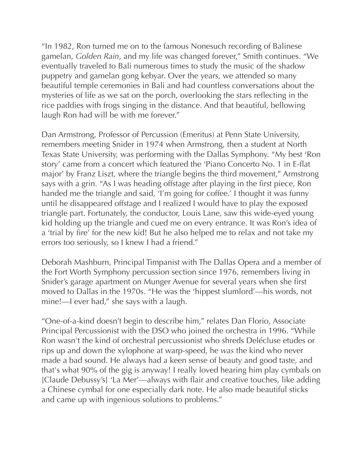"In 1982, Ron turned me on to the famous Nonesuch recording of Balinese gamelan, *Golden Rain*, and my life was changed forever," Smith continues. "We eventually traveled to Bali numerous times to study the music of the shadow puppetry and gamelan gong kebyar. Over the years, we attended so many beautiful temple ceremonies in Bali and had countless conversations about the mysteries of life as we sat on the porch, overlooking the stars reflecting in the rice paddies with frogs singing in the distance. And that beautiful, bellowing laugh Ron had will be with me forever."

Dan Armstrong, Professor of Percussion (Emeritus) at Penn State University, remembers meeting Snider in 1974 when Armstrong, then a student at North Texas State University, was performing with the Dallas Symphony. "My best 'Ron story' came from a concert which featured the 'Piano Concerto No. 1 in E-flat major' by Franz Liszt, where the triangle begins the third movement," Armstrong says with a grin. "As I was heading offstage after playing in the first piece, Ron handed me the triangle and said, 'I'm going for coffee.' I thought it was funny until he disappeared offstage and I realized I would have to play the exposed triangle part. Fortunately, the conductor, Louis Lane, saw this wide-eyed young kid holding up the triangle and cued me on every entrance. It was Ron's idea of a 'trial by fire' for the new kid! But he also helped me to relax and not take my errors too seriously, so I knew I had a friend."

Deborah Mashburn, Principal Timpanist with The Dallas Opera and a member of the Fort Worth Symphony percussion section since 1976, remembers living in Snider's garage apartment on Munger Avenue for several years when she first moved to Dallas in the 1970s. "He was the 'hippest slumlord'—his words, not mine!—I ever had," she says with a laugh.

"One-of-a-kind doesn't begin to describe him," relates Dan Florio, Associate Principal Percussionist with the DSO who joined the orchestra in 1996. "While Ron wasn't the kind of orchestral percussionist who shreds Delécluse etudes or rips up and down the xylophone at warp-speed, he *was* the kind who never made a bad sound. He always had a keen sense of beauty and good taste, and that's what 90% of the gig is anyway! I really loved hearing him play cymbals on [Claude Debussy's] 'La Mer'—always with flair and creative touches, like adding a Chinese cymbal for one especially dark note. He also made beautiful sticks and came up with ingenious solutions to problems."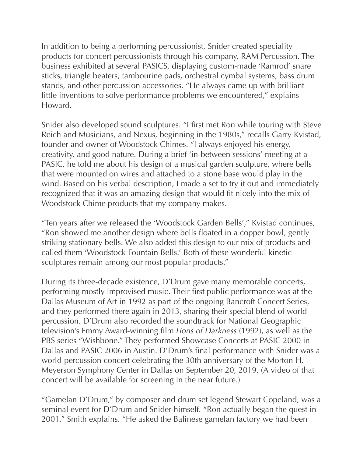In addition to being a performing percussionist, Snider created speciality products for concert percussionists through his company, RAM Percussion. The business exhibited at several PASICS, displaying custom-made 'Ramrod' snare sticks, triangle beaters, tambourine pads, orchestral cymbal systems, bass drum stands, and other percussion accessories. "He always came up with brilliant little inventions to solve performance problems we encountered," explains Howard.

Snider also developed sound sculptures. "I first met Ron while touring with Steve Reich and Musicians, and Nexus, beginning in the 1980s," recalls Garry Kvistad, founder and owner of Woodstock Chimes. "I always enjoyed his energy, creativity, and good nature. During a brief 'in-between sessions' meeting at a PASIC, he told me about his design of a musical garden sculpture, where bells that were mounted on wires and attached to a stone base would play in the wind. Based on his verbal description, I made a set to try it out and immediately recognized that it was an amazing design that would fit nicely into the mix of Woodstock Chime products that my company makes.

"Ten years after we released the 'Woodstock Garden Bells'," Kvistad continues, "Ron showed me another design where bells floated in a copper bowl, gently striking stationary bells. We also added this design to our mix of products and called them 'Woodstock Fountain Bells.' Both of these wonderful kinetic sculptures remain among our most popular products."

During its three-decade existence, D'Drum gave many memorable concerts, performing mostly improvised music. Their first public performance was at the Dallas Museum of Art in 1992 as part of the ongoing Bancroft Concert Series, and they performed there again in 2013, sharing their special blend of world percussion. D'Drum also recorded the soundtrack for National Geographic television's Emmy Award-winning film *Lions of Darkness* (1992), as well as the PBS series "Wishbone." They performed Showcase Concerts at PASIC 2000 in Dallas and PASIC 2006 in Austin. D'Drum's final performance with Snider was a world-percussion concert celebrating the 30th anniversary of the Morton H. Meyerson Symphony Center in Dallas on September 20, 2019. (A video of that concert will be available for screening in the near future.)

"Gamelan D'Drum," by composer and drum set legend Stewart Copeland, was a seminal event for D'Drum and Snider himself. "Ron actually began the quest in 2001," Smith explains. "He asked the Balinese gamelan factory we had been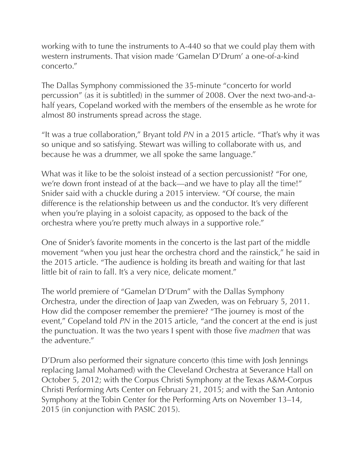working with to tune the instruments to A-440 so that we could play them with western instruments. That vision made 'Gamelan D'Drum' a one-of-a-kind concerto."

The Dallas Symphony commissioned the 35-minute "concerto for world percussion" (as it is subtitled) in the summer of 2008. Over the next two-and-ahalf years, Copeland worked with the members of the ensemble as he wrote for almost 80 instruments spread across the stage.

"It was a true collaboration," Bryant told *PN* in a 2015 article. "That's why it was so unique and so satisfying. Stewart was willing to collaborate with us, and because he was a drummer, we all spoke the same language."

What was it like to be the soloist instead of a section percussionist? "For one, we're down front instead of at the back—and we have to play all the time!" Snider said with a chuckle during a 2015 interview. "Of course, the main difference is the relationship between us and the conductor. It's very different when you're playing in a soloist capacity, as opposed to the back of the orchestra where you're pretty much always in a supportive role."

One of Snider's favorite moments in the concerto is the last part of the middle movement "when you just hear the orchestra chord and the rainstick," he said in the 2015 article. "The audience is holding its breath and waiting for that last little bit of rain to fall. It's a very nice, delicate moment."

The world premiere of "Gamelan D'Drum" with the Dallas Symphony Orchestra, under the direction of Jaap van Zweden, was on February 5, 2011. How did the composer remember the premiere? "The journey is most of the event," Copeland told *PN* in the 2015 article, "and the concert at the end is just the punctuation. It was the two years I spent with those five *madmen* that was the adventure."

D'Drum also performed their signature concerto (this time with Josh Jennings replacing Jamal Mohamed) with the Cleveland Orchestra at Severance Hall on October 5, 2012; with the Corpus Christi Symphony at the Texas A&M-Corpus Christi Performing Arts Center on February 21, 2015; and with the San Antonio Symphony at the Tobin Center for the Performing Arts on November 13–14, 2015 (in conjunction with PASIC 2015).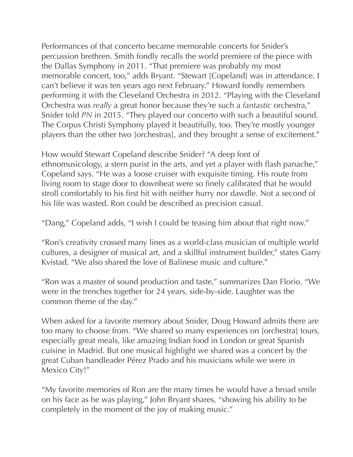Performances of that concerto became memorable concerts for Snider's percussion brethren. Smith fondly recalls the world premiere of the piece with the Dallas Symphony in 2011. "That premiere was probably my most memorable concert, too," adds Bryant. "Stewart [Copeland] was in attendance. I can't believe it was ten years ago next February." Howard fondly remembers performing it with the Cleveland Orchestra in 2012. "Playing with the Cleveland Orchestra was *really* a great honor because they're such a *fantastic* orchestra," Snider told *PN* in 2015. "They played our concerto with such a beautiful sound. The Corpus Christi Symphony played it beautifully, too. They're mostly younger players than the other two [orchestras], and they brought a sense of excitement."

How would Stewart Copeland describe Snider? "A deep font of ethnomusicology, a stern purist in the arts, and yet a player with flash panache," Copeland says. "He was a loose cruiser with exquisite timing. His route from living room to stage door to downbeat were so finely calibrated that he would stroll comfortably to his first hit with neither hurry nor dawdle. Not a second of his life was wasted. Ron could be described as precision casual.

"Dang," Copeland adds, "I wish I could be teasing him about that right now."

"Ron's creativity crossed many lines as a world-class musician of multiple world cultures, a designer of musical art, and a skillful instrument builder," states Garry Kvistad. "We also shared the love of Balinese music and culture."

"Ron was a master of sound production and taste," summarizes Dan Florio. "We were in the trenches together for 24 years, side-by-side. Laughter was the common theme of the day."

When asked for a favorite memory about Snider, Doug Howard admits there are too many to choose from. "We shared so many experiences on [orchestra] tours, especially great meals, like amazing Indian food in London or great Spanish cuisine in Madrid. But one musical highlight we shared was a concert by the great Cuban bandleader Pérez Prado and his musicians while we were in Mexico City!"

"My favorite memories of Ron are the many times he would have a broad smile on his face as he was playing," John Bryant shares, "showing his ability to be completely in the moment of the joy of making music."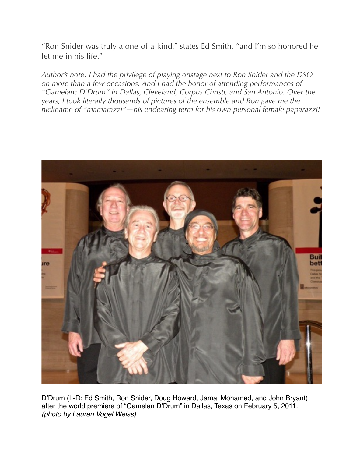"Ron Snider was truly a one-of-a-kind," states Ed Smith, "and I'm so honored he let me in his life."

*Author's note: I had the privilege of playing onstage next to Ron Snider and the DSO on more than a few occasions. And I had the honor of attending performances of "Gamelan: D'Drum" in Dallas, Cleveland, Corpus Christi, and San Antonio. Over the years, I took literally thousands of pictures of the ensemble and Ron gave me the nickname of "mamarazzi"—his endearing term for his own personal female paparazzi!*



D'Drum (L-R: Ed Smith, Ron Snider, Doug Howard, Jamal Mohamed, and John Bryant) after the world premiere of "Gamelan D'Drum" in Dallas, Texas on February 5, 2011. *(photo by Lauren Vogel Weiss)*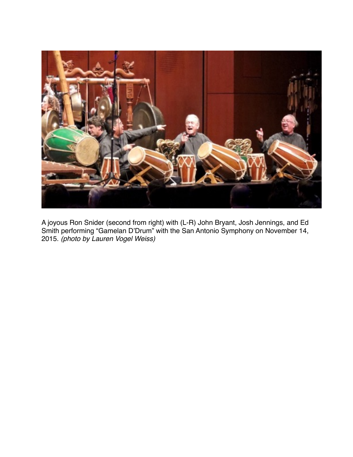

A joyous Ron Snider (second from right) with (L-R) John Bryant, Josh Jennings, and Ed Smith performing "Gamelan D'Drum" with the San Antonio Symphony on November 14, 2015. *(photo by Lauren Vogel Weiss)*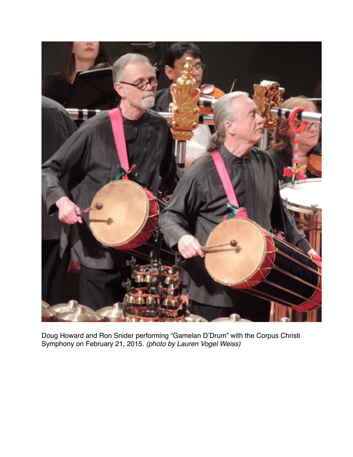

Doug Howard and Ron Snider performing "Gamelan D'Drum" with the Corpus Christi Symphony on February 21, 2015. *(photo by Lauren Vogel Weiss)*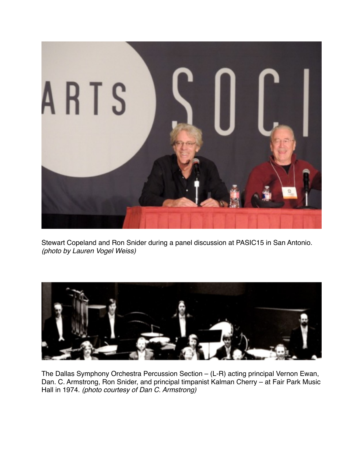

Stewart Copeland and Ron Snider during a panel discussion at PASIC15 in San Antonio. *(photo by Lauren Vogel Weiss)*



The Dallas Symphony Orchestra Percussion Section – (L-R) acting principal Vernon Ewan, Dan. C. Armstrong, Ron Snider, and principal timpanist Kalman Cherry – at Fair Park Music Hall in 1974. *(photo courtesy of Dan C. Armstrong)*